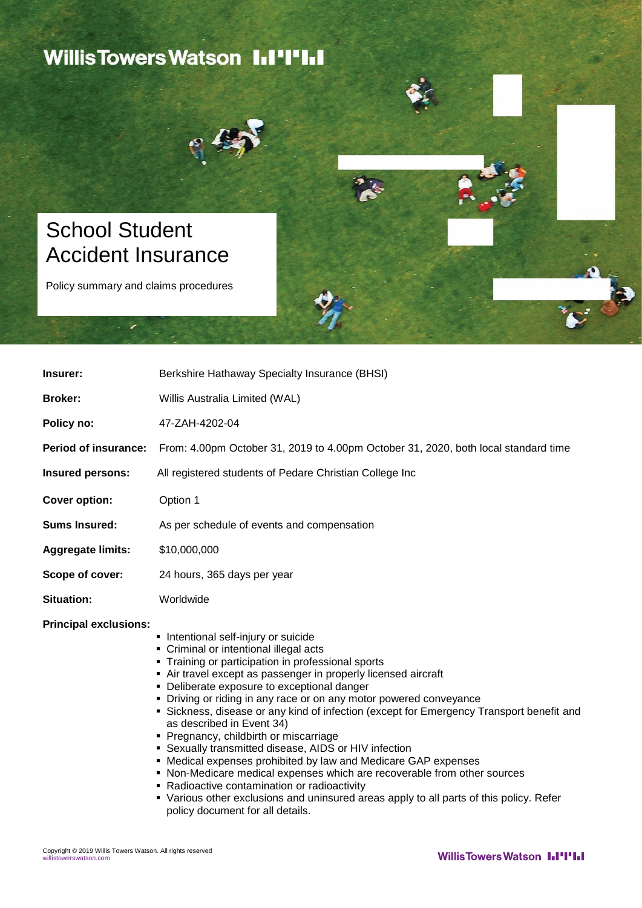### **Willis Towers Watson III'IIII**



## School Student Accident Insurance

Policy summary and claims procedures

| Insurer:                     | Berkshire Hathaway Specialty Insurance (BHSI)                                                                                                                                                                                                                                                                                                                                                                                                                                                                                                                                                                                                                                                                                                                                                                                                    |
|------------------------------|--------------------------------------------------------------------------------------------------------------------------------------------------------------------------------------------------------------------------------------------------------------------------------------------------------------------------------------------------------------------------------------------------------------------------------------------------------------------------------------------------------------------------------------------------------------------------------------------------------------------------------------------------------------------------------------------------------------------------------------------------------------------------------------------------------------------------------------------------|
| <b>Broker:</b>               | Willis Australia Limited (WAL)                                                                                                                                                                                                                                                                                                                                                                                                                                                                                                                                                                                                                                                                                                                                                                                                                   |
| Policy no:                   | 47-ZAH-4202-04                                                                                                                                                                                                                                                                                                                                                                                                                                                                                                                                                                                                                                                                                                                                                                                                                                   |
| <b>Period of insurance:</b>  | From: 4.00pm October 31, 2019 to 4.00pm October 31, 2020, both local standard time                                                                                                                                                                                                                                                                                                                                                                                                                                                                                                                                                                                                                                                                                                                                                               |
| Insured persons:             | All registered students of Pedare Christian College Inc                                                                                                                                                                                                                                                                                                                                                                                                                                                                                                                                                                                                                                                                                                                                                                                          |
| <b>Cover option:</b>         | Option 1                                                                                                                                                                                                                                                                                                                                                                                                                                                                                                                                                                                                                                                                                                                                                                                                                                         |
| <b>Sums Insured:</b>         | As per schedule of events and compensation                                                                                                                                                                                                                                                                                                                                                                                                                                                                                                                                                                                                                                                                                                                                                                                                       |
| <b>Aggregate limits:</b>     | \$10,000,000                                                                                                                                                                                                                                                                                                                                                                                                                                                                                                                                                                                                                                                                                                                                                                                                                                     |
| Scope of cover:              | 24 hours, 365 days per year                                                                                                                                                                                                                                                                                                                                                                                                                                                                                                                                                                                                                                                                                                                                                                                                                      |
| <b>Situation:</b>            | Worldwide                                                                                                                                                                                                                                                                                                                                                                                                                                                                                                                                                                                                                                                                                                                                                                                                                                        |
| <b>Principal exclusions:</b> | • Intentional self-injury or suicide<br>• Criminal or intentional illegal acts<br>• Training or participation in professional sports<br>• Air travel except as passenger in properly licensed aircraft<br>• Deliberate exposure to exceptional danger<br>• Driving or riding in any race or on any motor powered conveyance<br>• Sickness, disease or any kind of infection (except for Emergency Transport benefit and<br>as described in Event 34)<br>• Pregnancy, childbirth or miscarriage<br>• Sexually transmitted disease, AIDS or HIV infection<br>• Medical expenses prohibited by law and Medicare GAP expenses<br>• Non-Medicare medical expenses which are recoverable from other sources<br>• Radioactive contamination or radioactivity<br>• Various other exclusions and uninsured areas apply to all parts of this policy. Refer |

policy document for all details.

. .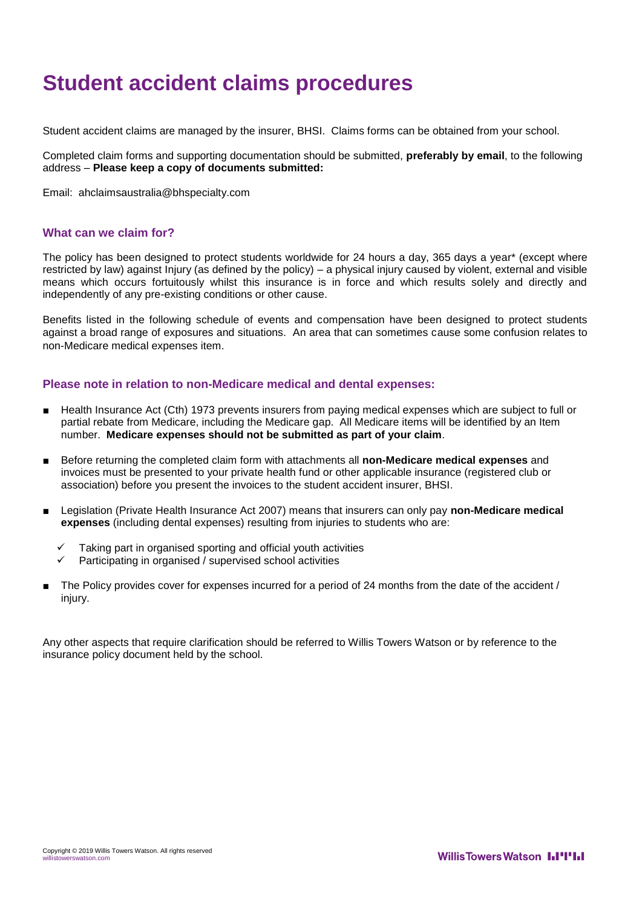## **Student accident claims procedures**

Student accident claims are managed by the insurer, BHSI. Claims forms can be obtained from your school.

Completed claim forms and supporting documentation should be submitted, **preferably by email**, to the following address – **Please keep a copy of documents submitted:**

Email: [ahclaimsaustralia@bhspecialty.com](mailto:ahclaimsaustralia@bhspecialty.com)

#### **What can we claim for?**

The policy has been designed to protect students worldwide for 24 hours a day, 365 days a year\* (except where restricted by law) against Injury (as defined by the policy) – a physical injury caused by violent, external and visible means which occurs fortuitously whilst this insurance is in force and which results solely and directly and independently of any pre-existing conditions or other cause.

Benefits listed in the following schedule of events and compensation have been designed to protect students against a broad range of exposures and situations. An area that can sometimes cause some confusion relates to non-Medicare medical expenses item.

### **Please note in relation to non-Medicare medical and dental expenses:**

- Health Insurance Act (Cth) 1973 prevents insurers from paying medical expenses which are subject to full or partial rebate from Medicare, including the Medicare gap. All Medicare items will be identified by an Item number. **Medicare expenses should not be submitted as part of your claim**.
- Before returning the completed claim form with attachments all **non-Medicare medical expenses** and invoices must be presented to your private health fund or other applicable insurance (registered club or association) before you present the invoices to the student accident insurer, BHSI.
- Legislation (Private Health Insurance Act 2007) means that insurers can only pay **non-Medicare medical expenses** (including dental expenses) resulting from injuries to students who are:
	- Taking part in organised sporting and official youth activities
	- $\checkmark$  Participating in organised / supervised school activities
- The Policy provides cover for expenses incurred for a period of 24 months from the date of the accident / injury.

Any other aspects that require clarification should be referred to Willis Towers Watson or by reference to the insurance policy document held by the school.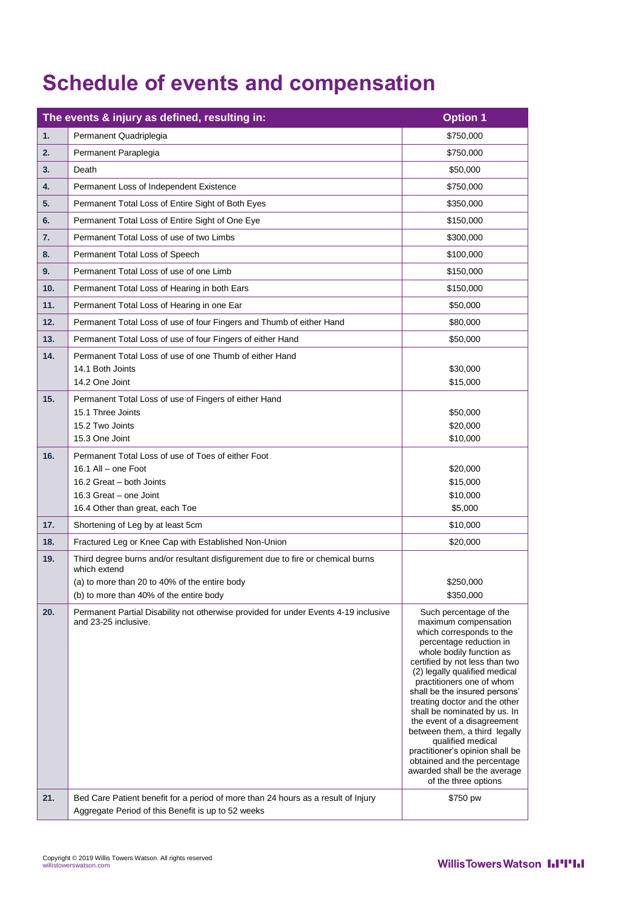# **Schedule of events and compensation**

| The events & injury as defined, resulting in: |                                                                                                             | <b>Option 1</b>                                                                                                                                                                                                                                                                                                                                                                                                                                             |
|-----------------------------------------------|-------------------------------------------------------------------------------------------------------------|-------------------------------------------------------------------------------------------------------------------------------------------------------------------------------------------------------------------------------------------------------------------------------------------------------------------------------------------------------------------------------------------------------------------------------------------------------------|
| 1.                                            | Permanent Quadriplegia                                                                                      | \$750,000                                                                                                                                                                                                                                                                                                                                                                                                                                                   |
| 2.                                            | Permanent Paraplegia                                                                                        | \$750,000                                                                                                                                                                                                                                                                                                                                                                                                                                                   |
| 3.                                            | Death                                                                                                       | \$50,000                                                                                                                                                                                                                                                                                                                                                                                                                                                    |
| 4.                                            | Permanent Loss of Independent Existence                                                                     | \$750,000                                                                                                                                                                                                                                                                                                                                                                                                                                                   |
| 5.                                            | Permanent Total Loss of Entire Sight of Both Eyes                                                           | \$350,000                                                                                                                                                                                                                                                                                                                                                                                                                                                   |
| 6.                                            | Permanent Total Loss of Entire Sight of One Eye                                                             | \$150,000                                                                                                                                                                                                                                                                                                                                                                                                                                                   |
| 7.                                            | Permanent Total Loss of use of two Limbs                                                                    | \$300,000                                                                                                                                                                                                                                                                                                                                                                                                                                                   |
| 8.                                            | Permanent Total Loss of Speech                                                                              | \$100,000                                                                                                                                                                                                                                                                                                                                                                                                                                                   |
| 9.                                            | Permanent Total Loss of use of one Limb                                                                     | \$150,000                                                                                                                                                                                                                                                                                                                                                                                                                                                   |
| 10.                                           | Permanent Total Loss of Hearing in both Ears                                                                | \$150,000                                                                                                                                                                                                                                                                                                                                                                                                                                                   |
| 11.                                           | Permanent Total Loss of Hearing in one Ear                                                                  | \$50,000                                                                                                                                                                                                                                                                                                                                                                                                                                                    |
| 12.                                           | Permanent Total Loss of use of four Fingers and Thumb of either Hand                                        | \$80,000                                                                                                                                                                                                                                                                                                                                                                                                                                                    |
| 13.                                           | Permanent Total Loss of use of four Fingers of either Hand                                                  | \$50,000                                                                                                                                                                                                                                                                                                                                                                                                                                                    |
| 14.                                           | Permanent Total Loss of use of one Thumb of either Hand                                                     |                                                                                                                                                                                                                                                                                                                                                                                                                                                             |
|                                               | 14.1 Both Joints                                                                                            | \$30,000                                                                                                                                                                                                                                                                                                                                                                                                                                                    |
|                                               | 14.2 One Joint                                                                                              | \$15,000                                                                                                                                                                                                                                                                                                                                                                                                                                                    |
| 15.                                           | Permanent Total Loss of use of Fingers of either Hand                                                       |                                                                                                                                                                                                                                                                                                                                                                                                                                                             |
|                                               | 15.1 Three Joints<br>15.2 Two Joints                                                                        | \$50,000<br>\$20,000                                                                                                                                                                                                                                                                                                                                                                                                                                        |
|                                               | 15.3 One Joint                                                                                              | \$10,000                                                                                                                                                                                                                                                                                                                                                                                                                                                    |
| 16.                                           | Permanent Total Loss of use of Toes of either Foot                                                          |                                                                                                                                                                                                                                                                                                                                                                                                                                                             |
|                                               | 16.1 All - one Foot                                                                                         | \$20,000                                                                                                                                                                                                                                                                                                                                                                                                                                                    |
|                                               | 16.2 Great - both Joints                                                                                    | \$15,000                                                                                                                                                                                                                                                                                                                                                                                                                                                    |
|                                               | 16.3 Great - one Joint<br>16.4 Other than great, each Toe                                                   | \$10,000<br>\$5,000                                                                                                                                                                                                                                                                                                                                                                                                                                         |
| 17.                                           | Shortening of Leg by at least 5cm                                                                           | \$10,000                                                                                                                                                                                                                                                                                                                                                                                                                                                    |
| 18.                                           | Fractured Leg or Knee Cap with Established Non-Union                                                        | \$20,000                                                                                                                                                                                                                                                                                                                                                                                                                                                    |
| 19.                                           | Third degree burns and/or resultant disfigurement due to fire or chemical burns                             |                                                                                                                                                                                                                                                                                                                                                                                                                                                             |
|                                               | which extend                                                                                                |                                                                                                                                                                                                                                                                                                                                                                                                                                                             |
|                                               | (a) to more than 20 to 40% of the entire body                                                               | \$250,000                                                                                                                                                                                                                                                                                                                                                                                                                                                   |
|                                               | (b) to more than 40% of the entire body                                                                     | \$350,000                                                                                                                                                                                                                                                                                                                                                                                                                                                   |
| 20.                                           | Permanent Partial Disability not otherwise provided for under Events 4-19 inclusive<br>and 23-25 inclusive. | Such percentage of the<br>maximum compensation<br>which corresponds to the<br>percentage reduction in<br>whole bodily function as<br>certified by not less than two<br>(2) legally qualified medical<br>practitioners one of whom<br>shall be the insured persons'<br>treating doctor and the other<br>shall be nominated by us. In<br>the event of a disagreement<br>between them, a third legally<br>qualified medical<br>practitioner's opinion shall be |
| 21.                                           | Bed Care Patient benefit for a period of more than 24 hours as a result of Injury                           | obtained and the percentage<br>awarded shall be the average<br>of the three options<br>\$750 pw                                                                                                                                                                                                                                                                                                                                                             |
|                                               | Aggregate Period of this Benefit is up to 52 weeks                                                          |                                                                                                                                                                                                                                                                                                                                                                                                                                                             |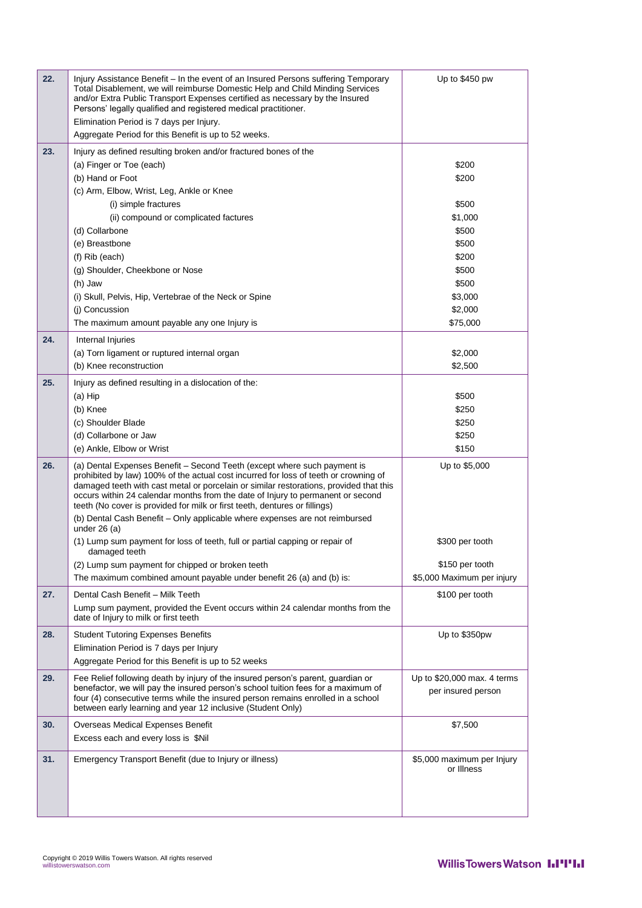| 22. | Injury Assistance Benefit – In the event of an Insured Persons suffering Temporary<br>Total Disablement, we will reimburse Domestic Help and Child Minding Services<br>and/or Extra Public Transport Expenses certified as necessary by the Insured<br>Persons' legally qualified and registered medical practitioner.<br>Elimination Period is 7 days per Injury.<br>Aggregate Period for this Benefit is up to 52 weeks.  | Up to \$450 pw                                    |
|-----|-----------------------------------------------------------------------------------------------------------------------------------------------------------------------------------------------------------------------------------------------------------------------------------------------------------------------------------------------------------------------------------------------------------------------------|---------------------------------------------------|
| 23. | Injury as defined resulting broken and/or fractured bones of the                                                                                                                                                                                                                                                                                                                                                            |                                                   |
|     | (a) Finger or Toe (each)                                                                                                                                                                                                                                                                                                                                                                                                    | \$200                                             |
|     | (b) Hand or Foot                                                                                                                                                                                                                                                                                                                                                                                                            | \$200                                             |
|     | (c) Arm, Elbow, Wrist, Leg, Ankle or Knee                                                                                                                                                                                                                                                                                                                                                                                   |                                                   |
|     | (i) simple fractures                                                                                                                                                                                                                                                                                                                                                                                                        | \$500                                             |
|     |                                                                                                                                                                                                                                                                                                                                                                                                                             | \$1,000                                           |
|     | (ii) compound or complicated factures                                                                                                                                                                                                                                                                                                                                                                                       |                                                   |
|     | (d) Collarbone                                                                                                                                                                                                                                                                                                                                                                                                              | \$500                                             |
|     | (e) Breastbone                                                                                                                                                                                                                                                                                                                                                                                                              | \$500                                             |
|     | (f) Rib (each)                                                                                                                                                                                                                                                                                                                                                                                                              | \$200                                             |
|     | (g) Shoulder, Cheekbone or Nose                                                                                                                                                                                                                                                                                                                                                                                             | \$500                                             |
|     | (h) Jaw                                                                                                                                                                                                                                                                                                                                                                                                                     | \$500                                             |
|     | (i) Skull, Pelvis, Hip, Vertebrae of the Neck or Spine                                                                                                                                                                                                                                                                                                                                                                      | \$3,000                                           |
|     | (i) Concussion                                                                                                                                                                                                                                                                                                                                                                                                              | \$2,000                                           |
|     | The maximum amount payable any one Injury is                                                                                                                                                                                                                                                                                                                                                                                | \$75,000                                          |
| 24. | Internal Injuries                                                                                                                                                                                                                                                                                                                                                                                                           |                                                   |
|     | (a) Torn ligament or ruptured internal organ                                                                                                                                                                                                                                                                                                                                                                                | \$2,000                                           |
|     | (b) Knee reconstruction                                                                                                                                                                                                                                                                                                                                                                                                     | \$2,500                                           |
| 25. | Injury as defined resulting in a dislocation of the:                                                                                                                                                                                                                                                                                                                                                                        |                                                   |
|     | (a) Hip                                                                                                                                                                                                                                                                                                                                                                                                                     | \$500                                             |
|     | (b) Knee                                                                                                                                                                                                                                                                                                                                                                                                                    | \$250                                             |
|     | (c) Shoulder Blade                                                                                                                                                                                                                                                                                                                                                                                                          | \$250                                             |
|     | (d) Collarbone or Jaw                                                                                                                                                                                                                                                                                                                                                                                                       | \$250                                             |
|     | (e) Ankle, Elbow or Wrist                                                                                                                                                                                                                                                                                                                                                                                                   | \$150                                             |
| 26. |                                                                                                                                                                                                                                                                                                                                                                                                                             |                                                   |
|     | (a) Dental Expenses Benefit - Second Teeth (except where such payment is<br>prohibited by law) 100% of the actual cost incurred for loss of teeth or crowning of<br>damaged teeth with cast metal or porcelain or similar restorations, provided that this<br>occurs within 24 calendar months from the date of Injury to permanent or second<br>teeth (No cover is provided for milk or first teeth, dentures or fillings) | Up to \$5,000                                     |
|     | (b) Dental Cash Benefit - Only applicable where expenses are not reimbursed<br>under $26(a)$                                                                                                                                                                                                                                                                                                                                |                                                   |
|     | (1) Lump sum payment for loss of teeth, full or partial capping or repair of<br>damaged teeth                                                                                                                                                                                                                                                                                                                               | \$300 per tooth                                   |
|     | (2) Lump sum payment for chipped or broken teeth                                                                                                                                                                                                                                                                                                                                                                            | \$150 per tooth                                   |
|     | The maximum combined amount payable under benefit 26 (a) and (b) is:                                                                                                                                                                                                                                                                                                                                                        | \$5,000 Maximum per injury                        |
| 27. | Dental Cash Benefit - Milk Teeth                                                                                                                                                                                                                                                                                                                                                                                            | \$100 per tooth                                   |
|     | Lump sum payment, provided the Event occurs within 24 calendar months from the<br>date of Injury to milk or first teeth                                                                                                                                                                                                                                                                                                     |                                                   |
| 28. | <b>Student Tutoring Expenses Benefits</b>                                                                                                                                                                                                                                                                                                                                                                                   | Up to \$350pw                                     |
|     | Elimination Period is 7 days per Injury                                                                                                                                                                                                                                                                                                                                                                                     |                                                   |
|     | Aggregate Period for this Benefit is up to 52 weeks                                                                                                                                                                                                                                                                                                                                                                         |                                                   |
|     |                                                                                                                                                                                                                                                                                                                                                                                                                             |                                                   |
| 29. | Fee Relief following death by injury of the insured person's parent, guardian or<br>benefactor, we will pay the insured person's school tuition fees for a maximum of<br>four (4) consecutive terms while the insured person remains enrolled in a school<br>between early learning and year 12 inclusive (Student Only)                                                                                                    | Up to \$20,000 max. 4 terms<br>per insured person |
| 30. | Overseas Medical Expenses Benefit                                                                                                                                                                                                                                                                                                                                                                                           | \$7,500                                           |
|     | Excess each and every loss is \$Nil                                                                                                                                                                                                                                                                                                                                                                                         |                                                   |
| 31. | Emergency Transport Benefit (due to Injury or illness)                                                                                                                                                                                                                                                                                                                                                                      | \$5,000 maximum per Injury<br>or Illness          |